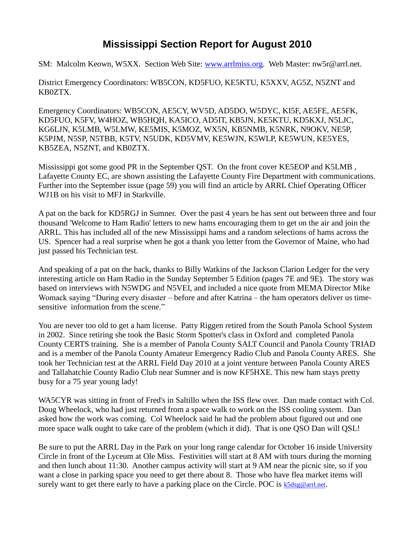## **Mississippi Section Report for August 2010**

SM: Malcolm Keown, W5XX. Section Web Site: [www.arrlmiss.org.](http://www.arrlmiss.org/) Web Master: nw5r@arrl.net.

District Emergency Coordinators: WB5CON, KD5FUO, KE5KTU, K5XXV, AG5Z, N5ZNT and KB0ZTX.

Emergency Coordinators: WB5CON, AE5CY, WV5D, AD5DO, W5DYC, KI5F, AE5FE, AE5FK, KD5FUO, K5FV, W4HOZ, WB5HQH, KA5ICO, AD5IT, KB5JN, KE5KTU, KD5KXJ, N5LJC, KG6LJN, K5LMB, W5LMW, KE5MIS, K5MOZ, WX5N, KB5NMB, K5NRK, N9OKV, NE5P, K5PJM, N5SP, N5TBB, K5TV, N5UDK, KD5VMV, KE5WJN, K5WLP, KE5WUN, KE5YES, KB5ZEA, N5ZNT, and KB0ZTX.

Mississippi got some good PR in the September QST. On the front cover KE5EOP and K5LMB , Lafayette County EC, are shown assisting the Lafayette County Fire Department with communications. Further into the September issue (page 59) you will find an article by ARRL Chief Operating Officer WJ1B on his visit to MFJ in Starkville.

A pat on the back for KD5RGJ in Sumner. Over the past 4 years he has sent out between three and four thousand 'Welcome to Ham Radio' letters to new hams encouraging them to get on the air and join the ARRL. This has included all of the new Mississippi hams and a random selections of hams across the US. Spencer had a real surprise when he got a thank you letter from the Governor of Maine, who had just passed his Technician test.

And speaking of a pat on the back, thanks to Billy Watkins of the Jackson Clarion Ledger for the very interesting article on Ham Radio in the Sunday September 5 Edition (pages 7E and 9E). The story was based on interviews with N5WDG and N5VEI, and included a nice quote from MEMA Director Mike Womack saying "During every disaster – before and after Katrina – the ham operators deliver us timesensitive information from the scene."

You are never too old to get a ham license. Patty Riggen retired from the South Panola School System in 2002. Since retiring she took the Basic Storm Spotter's class in Oxford and completed Panola County CERTS training. She is a member of Panola County SALT Council and Panola County TRIAD and is a member of the Panola County Amateur Emergency Radio Club and Panola County ARES. She took her Technician test at the ARRL Field Day 2010 at a joint venture between Panola County ARES and Tallahatchie County Radio Club near Sumner and is now KF5HXE. This new ham stays pretty busy for a 75 year young lady!

WA5CYR was sitting in front of Fred's in Saltillo when the ISS flew over. Dan made contact with Col. Doug Wheelock, who had just returned from a space walk to work on the ISS cooling system. Dan asked how the work was coming. Col Wheelock said he had the problem about figured out and one more space walk ought to take care of the problem (which it did). That is one QSO Dan will QSL!

Be sure to put the ARRL Day in the Park on your long range calendar for October 16 inside University Circle in front of the Lyceum at Ole Miss. Festivities will start at 8 AM with tours during the morning and then lunch about 11:30. Another campus activity will start at 9 AM near the picnic site, so if you want a close in parking space you need to get there about 8. Those who have flea market items will surely want to get there early to have a parking place on the Circle. POC is  $k5dsg@arrl.net$ .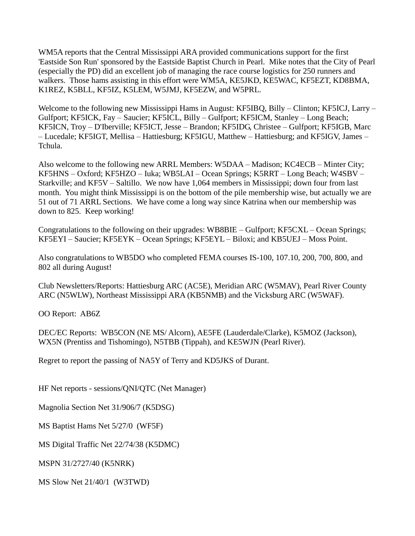WM5A reports that the Central Mississippi ARA provided communications support for the first 'Eastside Son Run' sponsored by the Eastside Baptist Church in Pearl. Mike notes that the City of Pearl (especially the PD) did an excellent job of managing the race course logistics for 250 runners and walkers. Those hams assisting in this effort were WM5A, KE5JKD, KE5WAC, KF5EZT, KD8BMA, K1REZ, K5BLL, KF5IZ, K5LEM, W5JMJ, KF5EZW, and W5PRL.

Welcome to the following new Mississippi Hams in August: KF5IBQ, Billy – Clinton; KF5ICJ, Larry – Gulfport; KF5ICK, Fay – Saucier; KF5ICL, Billy – Gulfport; KF5ICM, Stanley – Long Beach; KF5ICN, Troy – D'Iberville; KF5ICT, Jesse – Brandon; KF5IDG, Christee – Gulfport; KF5IGB, Marc – Lucedale; KF5IGT, Mellisa – Hattiesburg; KF5IGU, Matthew – Hattiesburg; and KF5IGV, James – Tchula.

Also welcome to the following new ARRL Members: W5DAA – Madison; KC4ECB – Minter City; KF5HNS – Oxford; KF5HZO – Iuka; WB5LAI – Ocean Springs; K5RRT – Long Beach; W4SBV – Starkville; and KF5V – Saltillo. We now have 1,064 members in Mississippi; down four from last month. You might think Mississippi is on the bottom of the pile membership wise, but actually we are 51 out of 71 ARRL Sections. We have come a long way since Katrina when our membership was down to 825. Keep working!

Congratulations to the following on their upgrades: WB8BIE – Gulfport; KF5CXL – Ocean Springs; KF5EYI – Saucier; KF5EYK – Ocean Springs; KF5EYL – Biloxi; and KB5UEJ – Moss Point.

Also congratulations to WB5DO who completed FEMA courses IS-100, 107.10, 200, 700, 800, and 802 all during August!

Club Newsletters/Reports: Hattiesburg ARC (AC5E), Meridian ARC (W5MAV), Pearl River County ARC (N5WLW), Northeast Mississippi ARA (KB5NMB) and the Vicksburg ARC (W5WAF).

OO Report: AB6Z

DEC/EC Reports: WB5CON (NE MS/ Alcorn), AE5FE (Lauderdale/Clarke), K5MOZ (Jackson), WX5N (Prentiss and Tishomingo), N5TBB (Tippah), and KE5WJN (Pearl River).

Regret to report the passing of NA5Y of Terry and KD5JKS of Durant.

HF Net reports - sessions/QNI/QTC (Net Manager)

Magnolia Section Net 31/906/7 (K5DSG)

MS Baptist Hams Net 5/27/0 (WF5F)

MS Digital Traffic Net 22/74/38 (K5DMC)

MSPN 31/2727/40 (K5NRK)

MS Slow Net 21/40/1 (W3TWD)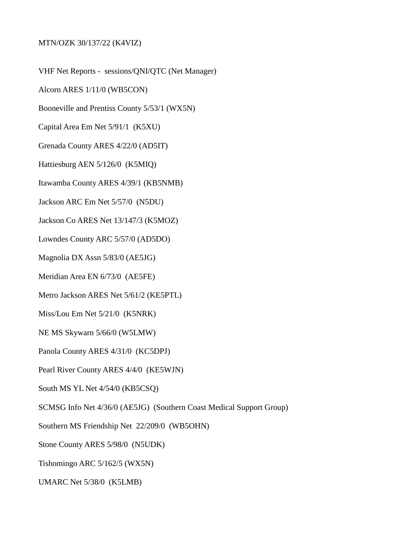## MTN/OZK 30/137/22 (K4VIZ)

VHF Net Reports - sessions/QNI/QTC (Net Manager)

Alcorn ARES 1/11/0 (WB5CON)

Booneville and Prentiss County 5/53/1 (WX5N)

Capital Area Em Net 5/91/1 (K5XU)

Grenada County ARES 4/22/0 (AD5IT)

Hattiesburg AEN 5/126/0 (K5MIQ)

Itawamba County ARES 4/39/1 (KB5NMB)

Jackson ARC Em Net 5/57/0 (N5DU)

Jackson Co ARES Net 13/147/3 (K5MOZ)

Lowndes County ARC 5/57/0 (AD5DO)

Magnolia DX Assn 5/83/0 (AE5JG)

Meridian Area EN 6/73/0 (AE5FE)

Metro Jackson ARES Net 5/61/2 (KE5PTL)

Miss/Lou Em Net 5/21/0 (K5NRK)

NE MS Skywarn 5/66/0 (W5LMW)

Panola County ARES 4/31/0 (KC5DPJ)

Pearl River County ARES 4/4/0 (KE5WJN)

South MS YL Net 4/54/0 (KB5CSQ)

SCMSG Info Net 4/36/0 (AE5JG) (Southern Coast Medical Support Group)

Southern MS Friendship Net 22/209/0 (WB5OHN)

Stone County ARES 5/98/0 (N5UDK)

Tishomingo ARC 5/162/5 (WX5N)

UMARC Net 5/38/0 (K5LMB)